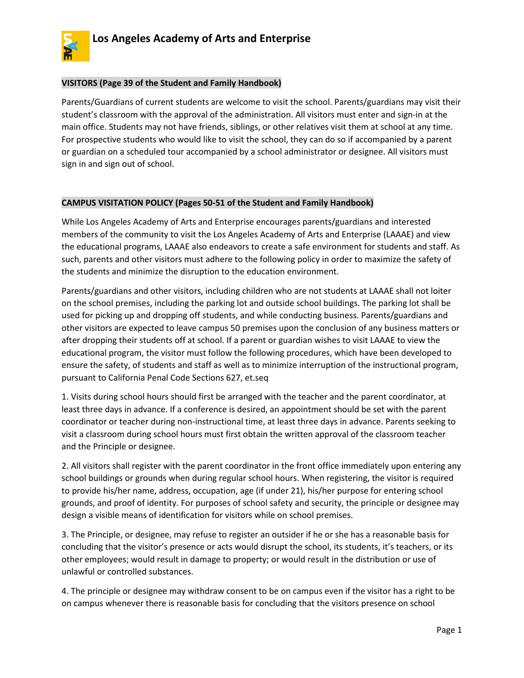

## **VISITORS (Page 39 of the Student and Family Handbook)**

Parents/Guardians of current students are welcome to visit the school. Parents/guardians may visit their student's classroom with the approval of the administration. All visitors must enter and sign-in at the main office. Students may not have friends, siblings, or other relatives visit them at school at any time. For prospective students who would like to visit the school, they can do so if accompanied by a parent or guardian on a scheduled tour accompanied by a school administrator or designee. All visitors must sign in and sign out of school.

## **CAMPUS VISITATION POLICY (Pages 50-51 of the Student and Family Handbook)**

While Los Angeles Academy of Arts and Enterprise encourages parents/guardians and interested members of the community to visit the Los Angeles Academy of Arts and Enterprise (LAAAE) and view the educational programs, LAAAE also endeavors to create a safe environment for students and staff. As such, parents and other visitors must adhere to the following policy in order to maximize the safety of the students and minimize the disruption to the education environment.

Parents/guardians and other visitors, including children who are not students at LAAAE shall not loiter on the school premises, including the parking lot and outside school buildings. The parking lot shall be used for picking up and dropping off students, and while conducting business. Parents/guardians and other visitors are expected to leave campus 50 premises upon the conclusion of any business matters or after dropping their students off at school. If a parent or guardian wishes to visit LAAAE to view the educational program, the visitor must follow the following procedures, which have been developed to ensure the safety, of students and staff as well as to minimize interruption of the instructional program, pursuant to California Penal Code Sections 627, et.seq

1. Visits during school hours should first be arranged with the teacher and the parent coordinator, at least three days in advance. If a conference is desired, an appointment should be set with the parent coordinator or teacher during non-instructional time, at least three days in advance. Parents seeking to visit a classroom during school hours must first obtain the written approval of the classroom teacher and the Principle or designee.

2. All visitors shall register with the parent coordinator in the front office immediately upon entering any school buildings or grounds when during regular school hours. When registering, the visitor is required to provide his/her name, address, occupation, age (if under 21), his/her purpose for entering school grounds, and proof of identity. For purposes of school safety and security, the principle or designee may design a visible means of identification for visitors while on school premises.

3. The Principle, or designee, may refuse to register an outsider if he or she has a reasonable basis for concluding that the visitor's presence or acts would disrupt the school, its students, it's teachers, or its other employees; would result in damage to property; or would result in the distribution or use of unlawful or controlled substances.

4. The principle or designee may withdraw consent to be on campus even if the visitor has a right to be on campus whenever there is reasonable basis for concluding that the visitors presence on school